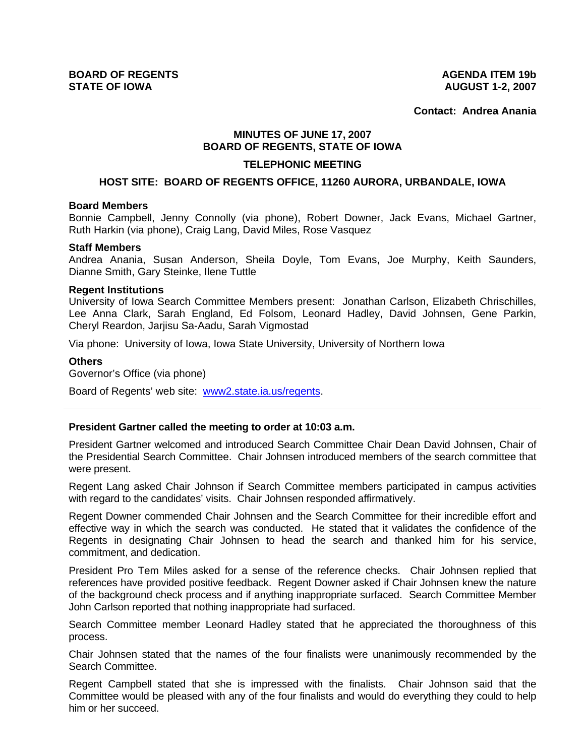**Contact: Andrea Anania**

# **MINUTES OF JUNE 17, 2007 BOARD OF REGENTS, STATE OF IOWA**

### **TELEPHONIC MEETING**

### **HOST SITE: BOARD OF REGENTS OFFICE, 11260 AURORA, URBANDALE, IOWA**

#### **Board Members**

Bonnie Campbell, Jenny Connolly (via phone), Robert Downer, Jack Evans, Michael Gartner, Ruth Harkin (via phone), Craig Lang, David Miles, Rose Vasquez

### **Staff Members**

Andrea Anania, Susan Anderson, Sheila Doyle, Tom Evans, Joe Murphy, Keith Saunders, Dianne Smith, Gary Steinke, Ilene Tuttle

#### **Regent Institutions**

University of Iowa Search Committee Members present: Jonathan Carlson, Elizabeth Chrischilles, Lee Anna Clark, Sarah England, Ed Folsom, Leonard Hadley, David Johnsen, Gene Parkin, Cheryl Reardon, Jarjisu Sa-Aadu, Sarah Vigmostad

Via phone: University of Iowa, Iowa State University, University of Northern Iowa

## **Others**

Governor's Office (via phone)

Board of Regents' web site: www2.state.ia.us/regents.

# **President Gartner called the meeting to order at 10:03 a.m.**

President Gartner welcomed and introduced Search Committee Chair Dean David Johnsen, Chair of the Presidential Search Committee. Chair Johnsen introduced members of the search committee that were present.

Regent Lang asked Chair Johnson if Search Committee members participated in campus activities with regard to the candidates' visits. Chair Johnsen responded affirmatively.

Regent Downer commended Chair Johnsen and the Search Committee for their incredible effort and effective way in which the search was conducted. He stated that it validates the confidence of the Regents in designating Chair Johnsen to head the search and thanked him for his service, commitment, and dedication.

President Pro Tem Miles asked for a sense of the reference checks. Chair Johnsen replied that references have provided positive feedback. Regent Downer asked if Chair Johnsen knew the nature of the background check process and if anything inappropriate surfaced. Search Committee Member John Carlson reported that nothing inappropriate had surfaced.

Search Committee member Leonard Hadley stated that he appreciated the thoroughness of this process.

Chair Johnsen stated that the names of the four finalists were unanimously recommended by the Search Committee.

Regent Campbell stated that she is impressed with the finalists. Chair Johnson said that the Committee would be pleased with any of the four finalists and would do everything they could to help him or her succeed.